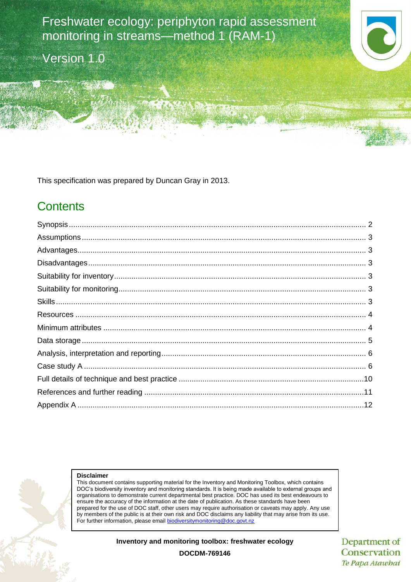Freshwater ecology: periphyton rapid assessment monitoring in streams—method 1 (RAM-1)

Version 1.0



This specification was prepared by Duncan Gray in 2013.

## **Contents**



#### **Disclaimer**

This document contains supporting material for the Inventory and Monitoring Toolbox, which contains DOC's biodiversity inventory and monitoring standards. It is being made available to external groups and organisations to demonstrate current departmental best practice. DOC has used its best endeavours to ensure the accuracy of the information at the date of publication. As these standards have been prepared for the use of DOC staff, other users may require authorisation or caveats may apply. Any use by members of the public is at their own risk and DOC disclaims any liability that may arise from its use. For further information, please email [biodiversitymonitoring@doc.govt.nz](mailto:biodiversitymonitoring@doc.govt.nz)

#### **Inventory and monitoring toolbox: freshwater ecology**

Department of Conservation Te Papa Atawhai

**DOCDM-769146**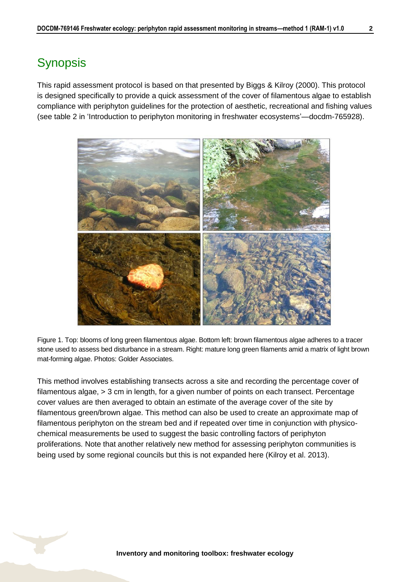# <span id="page-1-0"></span>**Synopsis**

This rapid assessment protocol is based on that presented by Biggs & Kilroy (2000). This protocol is designed specifically to provide a quick assessment of the cover of filamentous algae to establish compliance with periphyton guidelines for the protection of aesthetic, recreational and fishing values (see table 2 in 'Introduction to periphyton monitoring in freshwater ecosystems'—docdm-765928).



Figure 1. Top: blooms of long green filamentous algae. Bottom left: brown filamentous algae adheres to a tracer stone used to assess bed disturbance in a stream. Right: mature long green filaments amid a matrix of light brown mat-forming algae. Photos: Golder Associates.

This method involves establishing transects across a site and recording the percentage cover of filamentous algae, > 3 cm in length, for a given number of points on each transect. Percentage cover values are then averaged to obtain an estimate of the average cover of the site by filamentous green/brown algae. This method can also be used to create an approximate map of filamentous periphyton on the stream bed and if repeated over time in conjunction with physicochemical measurements be used to suggest the basic controlling factors of periphyton proliferations. Note that another relatively new method for assessing periphyton communities is being used by some regional councils but this is not expanded here (Kilroy et al. 2013).

**Inventory and monitoring toolbox: freshwater ecology**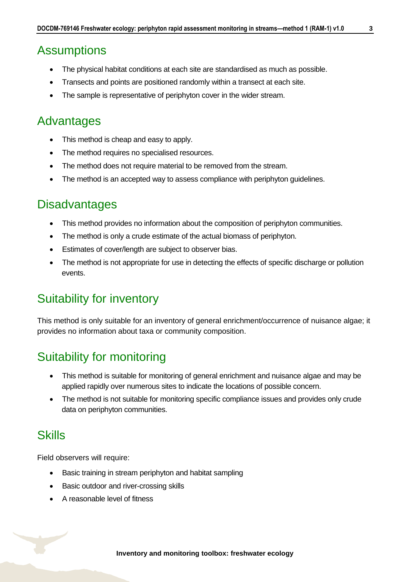## <span id="page-2-0"></span>**Assumptions**

- The physical habitat conditions at each site are standardised as much as possible.
- Transects and points are positioned randomly within a transect at each site.
- The sample is representative of periphyton cover in the wider stream.

## <span id="page-2-1"></span>Advantages

- This method is cheap and easy to apply.
- The method requires no specialised resources.
- The method does not require material to be removed from the stream.
- The method is an accepted way to assess compliance with periphyton quidelines.

## <span id="page-2-2"></span>**Disadvantages**

- This method provides no information about the composition of periphyton communities.
- The method is only a crude estimate of the actual biomass of periphyton.
- **Estimates of cover/length are subject to observer bias.**
- The method is not appropriate for use in detecting the effects of specific discharge or pollution events.

## <span id="page-2-3"></span>Suitability for inventory

This method is only suitable for an inventory of general enrichment/occurrence of nuisance algae; it provides no information about taxa or community composition.

## <span id="page-2-4"></span>Suitability for monitoring

- This method is suitable for monitoring of general enrichment and nuisance algae and may be applied rapidly over numerous sites to indicate the locations of possible concern.
- The method is not suitable for monitoring specific compliance issues and provides only crude data on periphyton communities.

## <span id="page-2-5"></span>**Skills**

Field observers will require:

- Basic training in stream periphyton and habitat sampling
- Basic outdoor and river-crossing skills
- A reasonable level of fitness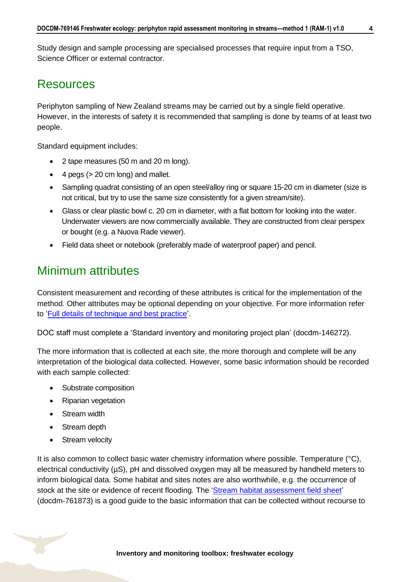Study design and sample processing are specialised processes that require input from a TSO, Science Officer or external contractor.

### <span id="page-3-0"></span>**Resources**

Periphyton sampling of New Zealand streams may be carried out by a single field operative. However, in the interests of safety it is recommended that sampling is done by teams of at least two people.

Standard equipment includes:

- 2 tape measures (50 m and 20 m long).
- $\bullet$  4 pegs ( $>$  20 cm long) and mallet.
- Sampling quadrat consisting of an open steel/alloy ring or square 15-20 cm in diameter (size is not critical, but try to use the same size consistently for a given stream/site).
- Glass or clear plastic bowl c. 20 cm in diameter, with a flat bottom for looking into the water. Underwater viewers are now commercially available. They are constructed from clear perspex or bought (e.g. a Nuova Rade viewer).
- Field data sheet or notebook (preferably made of waterproof paper) and pencil.

## <span id="page-3-1"></span>Minimum attributes

Consistent measurement and recording of these attributes is critical for the implementation of the method. Other attributes may be optional depending on your objective. For more information refer to ['Full details of technique and best practice'](#page-9-0).

DOC staff must complete a 'Standard inventory and monitoring project plan' (docdm-146272).

The more information that is collected at each site, the more thorough and complete will be any interpretation of the biological data collected. However, some basic information should be recorded with each sample collected:

- Substrate composition
- Riparian vegetation
- Stream width
- Stream depth
- Stream velocity

It is also common to collect basic water chemistry information where possible. Temperature (°C), electrical conductivity ( $\mu S$ ), pH and dissolved oxygen may all be measured by handheld meters to inform biological data. Some habitat and sites notes are also worthwhile, e.g. the occurrence of stock at the site or evidence of recent flooding. The ['Stream habitat assessment field sheet'](http://www.doc.govt.nz/Documents/science-and-technical/inventory-monitoring/im-toolbox-freshwater-ecology/im-toolbox-freshwater-ecology-stream-habitat-assessment-field-sheet.pdf) (docdm-761873) is a good guide to the basic information that can be collected without recourse to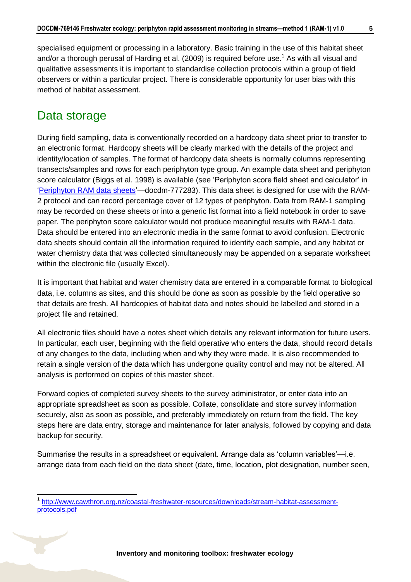specialised equipment or processing in a laboratory. Basic training in the use of this habitat sheet and/or a thorough perusal of Harding et al. (2009) is required before use.<sup>1</sup> As with all visual and qualitative assessments it is important to standardise collection protocols within a group of field observers or within a particular project. There is considerable opportunity for user bias with this method of habitat assessment.

## <span id="page-4-0"></span>Data storage

 $\overline{1}$ 

During field sampling, data is conventionally recorded on a hardcopy data sheet prior to transfer to an electronic format. Hardcopy sheets will be clearly marked with the details of the project and identity/location of samples. The format of hardcopy data sheets is normally columns representing transects/samples and rows for each periphyton type group. An example data sheet and periphyton score calculator (Biggs et al. 1998) is available (see 'Periphyton score field sheet and calculator' in ['Periphyton RAM data sheets'](http://www.doc.govt.nz/Documents/science-and-technical/inventory-monitoring/im-toolbox-freshwater-ecology/im-toolbox-freshwater-ecology-periphyton-ram-data-sheets.xls)—docdm-777283). This data sheet is designed for use with the RAM-2 protocol and can record percentage cover of 12 types of periphyton. Data from RAM-1 sampling may be recorded on these sheets or into a generic list format into a field notebook in order to save paper. The periphyton score calculator would not produce meaningful results with RAM-1 data. Data should be entered into an electronic media in the same format to avoid confusion. Electronic data sheets should contain all the information required to identify each sample, and any habitat or water chemistry data that was collected simultaneously may be appended on a separate worksheet within the electronic file (usually Excel).

It is important that habitat and water chemistry data are entered in a comparable format to biological data, i.e. columns as sites, and this should be done as soon as possible by the field operative so that details are fresh. All hardcopies of habitat data and notes should be labelled and stored in a project file and retained.

All electronic files should have a notes sheet which details any relevant information for future users. In particular, each user, beginning with the field operative who enters the data, should record details of any changes to the data, including when and why they were made. It is also recommended to retain a single version of the data which has undergone quality control and may not be altered. All analysis is performed on copies of this master sheet.

Forward copies of completed survey sheets to the survey administrator, or enter data into an appropriate spreadsheet as soon as possible. Collate, consolidate and store survey information securely, also as soon as possible, and preferably immediately on return from the field. The key steps here are data entry, storage and maintenance for later analysis, followed by copying and data backup for security.

Summarise the results in a spreadsheet or equivalent. Arrange data as 'column variables'—i.e. arrange data from each field on the data sheet (date, time, location, plot designation, number seen,

<sup>1</sup> [http://www.cawthron.org.nz/coastal-freshwater-resources/downloads/stream-habitat-assessment](http://www.cawthron.org.nz/coastal-freshwater-resources/downloads/stream-habitat-assessment-protocols.pdf)[protocols.pdf](http://www.cawthron.org.nz/coastal-freshwater-resources/downloads/stream-habitat-assessment-protocols.pdf)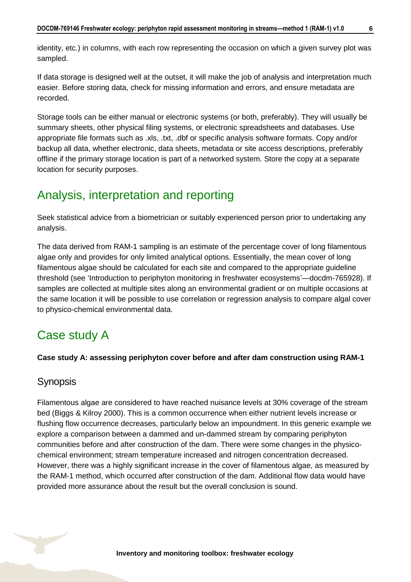identity, etc.) in columns, with each row representing the occasion on which a given survey plot was sampled.

If data storage is designed well at the outset, it will make the job of analysis and interpretation much easier. Before storing data, check for missing information and errors, and ensure metadata are recorded.

Storage tools can be either manual or electronic systems (or both, preferably). They will usually be summary sheets, other physical filing systems, or electronic spreadsheets and databases. Use appropriate file formats such as .xls, .txt, .dbf or specific analysis software formats. Copy and/or backup all data, whether electronic, data sheets, metadata or site access descriptions, preferably offline if the primary storage location is part of a networked system. Store the copy at a separate location for security purposes.

# <span id="page-5-0"></span>Analysis, interpretation and reporting

Seek statistical advice from a biometrician or suitably experienced person prior to undertaking any analysis.

The data derived from RAM-1 sampling is an estimate of the percentage cover of long filamentous algae only and provides for only limited analytical options. Essentially, the mean cover of long filamentous algae should be calculated for each site and compared to the appropriate guideline threshold (see 'Introduction to periphyton monitoring in freshwater ecosystems'—docdm-765928). If samples are collected at multiple sites along an environmental gradient or on multiple occasions at the same location it will be possible to use correlation or regression analysis to compare algal cover to physico-chemical environmental data.

# <span id="page-5-1"></span>Case study A

### **Case study A: assessing periphyton cover before and after dam construction using RAM-1**

### **Synopsis**

Filamentous algae are considered to have reached nuisance levels at 30% coverage of the stream bed (Biggs & Kilroy 2000). This is a common occurrence when either nutrient levels increase or flushing flow occurrence decreases, particularly below an impoundment. In this generic example we explore a comparison between a dammed and un-dammed stream by comparing periphyton communities before and after construction of the dam. There were some changes in the physicochemical environment; stream temperature increased and nitrogen concentration decreased. However, there was a highly significant increase in the cover of filamentous algae, as measured by the RAM-1 method, which occurred after construction of the dam. Additional flow data would have provided more assurance about the result but the overall conclusion is sound.

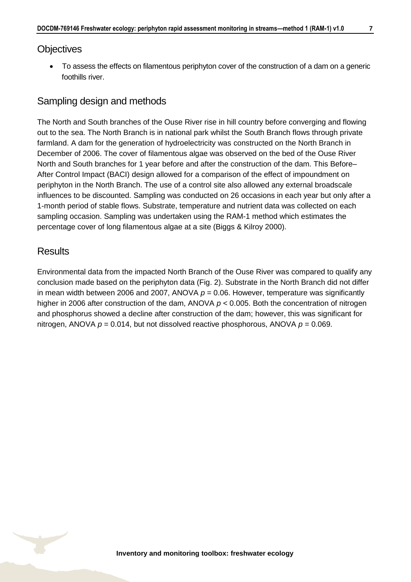### **Objectives**

• To assess the effects on filamentous periphyton cover of the construction of a dam on a generic foothills river.

### Sampling design and methods

The North and South branches of the Ouse River rise in hill country before converging and flowing out to the sea. The North Branch is in national park whilst the South Branch flows through private farmland. A dam for the generation of hydroelectricity was constructed on the North Branch in December of 2006. The cover of filamentous algae was observed on the bed of the Ouse River North and South branches for 1 year before and after the construction of the dam. This Before– After Control Impact (BACI) design allowed for a comparison of the effect of impoundment on periphyton in the North Branch. The use of a control site also allowed any external broadscale influences to be discounted. Sampling was conducted on 26 occasions in each year but only after a 1-month period of stable flows. Substrate, temperature and nutrient data was collected on each sampling occasion. Sampling was undertaken using the RAM-1 method which estimates the percentage cover of long filamentous algae at a site (Biggs & Kilroy 2000).

### **Results**

Environmental data from the impacted North Branch of the Ouse River was compared to qualify any conclusion made based on the periphyton data (Fig. 2). Substrate in the North Branch did not differ in mean width between 2006 and 2007, ANOVA  $p = 0.06$ . However, temperature was significantly higher in 2006 after construction of the dam, ANOVA *p* < 0.005. Both the concentration of nitrogen and phosphorus showed a decline after construction of the dam; however, this was significant for nitrogen, ANOVA  $p = 0.014$ , but not dissolved reactive phosphorous, ANOVA  $p = 0.069$ .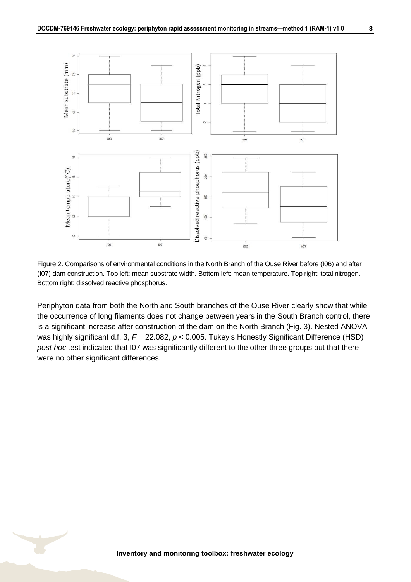

Figure 2. Comparisons of environmental conditions in the North Branch of the Ouse River before (I06) and after (I07) dam construction. Top left: mean substrate width. Bottom left: mean temperature. Top right: total nitrogen. Bottom right: dissolved reactive phosphorus.

Periphyton data from both the North and South branches of the Ouse River clearly show that while the occurrence of long filaments does not change between years in the South Branch control, there is a significant increase after construction of the dam on the North Branch (Fig. 3). Nested ANOVA was highly significant d.f. 3,  $F = 22.082$ ,  $p < 0.005$ . Tukey's Honestly Significant Difference (HSD) *post hoc* test indicated that I07 was significantly different to the other three groups but that there were no other significant differences.

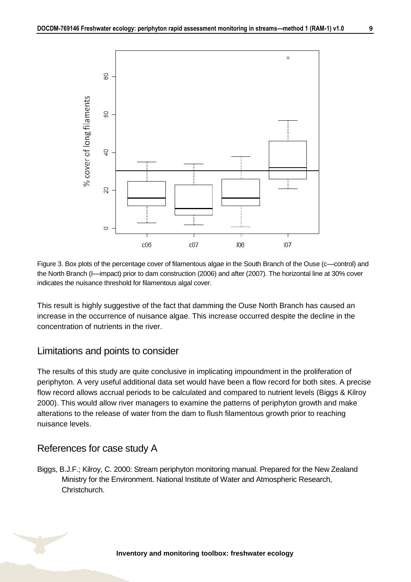

Figure 3. Box plots of the percentage cover of filamentous algae in the South Branch of the Ouse (c—control) and the North Branch (I—impact) prior to dam construction (2006) and after (2007). The horizontal line at 30% cover indicates the nuisance threshold for filamentous algal cover.

This result is highly suggestive of the fact that damming the Ouse North Branch has caused an increase in the occurrence of nuisance algae. This increase occurred despite the decline in the concentration of nutrients in the river.

### Limitations and points to consider

The results of this study are quite conclusive in implicating impoundment in the proliferation of periphyton. A very useful additional data set would have been a flow record for both sites. A precise flow record allows accrual periods to be calculated and compared to nutrient levels (Biggs & Kilroy 2000). This would allow river managers to examine the patterns of periphyton growth and make alterations to the release of water from the dam to flush filamentous growth prior to reaching nuisance levels.

### References for case study A

Biggs, B.J.F.; Kilroy, C. 2000: Stream periphyton monitoring manual. Prepared for the New Zealand Ministry for the Environment. National Institute of Water and Atmospheric Research, Christchurch.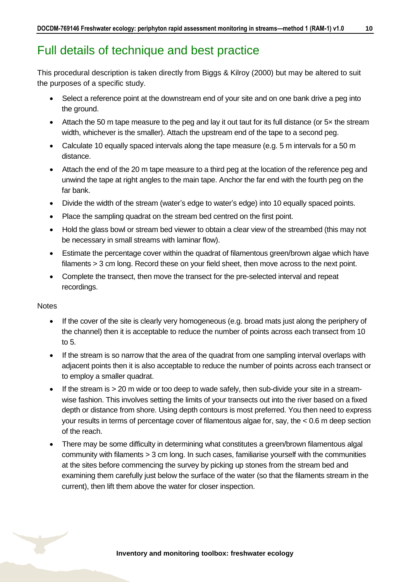## <span id="page-9-0"></span>Full details of technique and best practice

This procedural description is taken directly from Biggs & Kilroy (2000) but may be altered to suit the purposes of a specific study.

- Select a reference point at the downstream end of your site and on one bank drive a peg into the ground.
- Attach the 50 m tape measure to the peg and lay it out taut for its full distance (or 5x the stream width, whichever is the smaller). Attach the upstream end of the tape to a second peg.
- Calculate 10 equally spaced intervals along the tape measure (e.g. 5 m intervals for a 50 m distance.
- Attach the end of the 20 m tape measure to a third peg at the location of the reference peg and unwind the tape at right angles to the main tape. Anchor the far end with the fourth peg on the far bank.
- Divide the width of the stream (water's edge to water's edge) into 10 equally spaced points.
- Place the sampling quadrat on the stream bed centred on the first point.
- Hold the glass bowl or stream bed viewer to obtain a clear view of the streambed (this may not be necessary in small streams with laminar flow).
- Estimate the percentage cover within the quadrat of filamentous green/brown algae which have filaments > 3 cm long. Record these on your field sheet, then move across to the next point.
- Complete the transect, then move the transect for the pre-selected interval and repeat recordings.

#### **Notes**

- If the cover of the site is clearly very homogeneous (e.g. broad mats just along the periphery of the channel) then it is acceptable to reduce the number of points across each transect from 10 to 5.
- If the stream is so narrow that the area of the quadrat from one sampling interval overlaps with adjacent points then it is also acceptable to reduce the number of points across each transect or to employ a smaller quadrat.
- If the stream is > 20 m wide or too deep to wade safely, then sub-divide your site in a streamwise fashion. This involves setting the limits of your transects out into the river based on a fixed depth or distance from shore. Using depth contours is most preferred. You then need to express your results in terms of percentage cover of filamentous algae for, say, the < 0.6 m deep section of the reach.
- There may be some difficulty in determining what constitutes a green/brown filamentous algal community with filaments > 3 cm long. In such cases, familiarise yourself with the communities at the sites before commencing the survey by picking up stones from the stream bed and examining them carefully just below the surface of the water (so that the filaments stream in the current), then lift them above the water for closer inspection.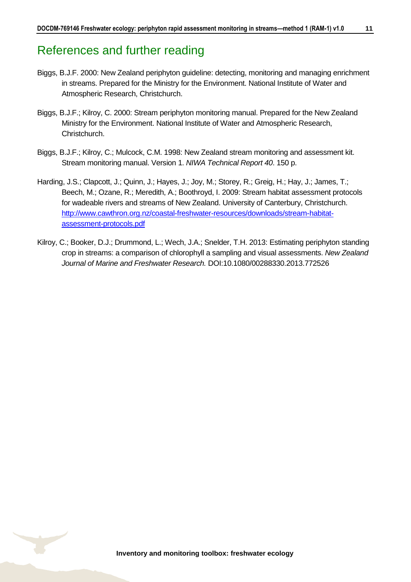### <span id="page-10-0"></span>References and further reading

- Biggs, B.J.F. 2000: New Zealand periphyton guideline: detecting, monitoring and managing enrichment in streams. Prepared for the Ministry for the Environment. National Institute of Water and Atmospheric Research, Christchurch.
- Biggs, B.J.F.; Kilroy, C. 2000: Stream periphyton monitoring manual. Prepared for the New Zealand Ministry for the Environment. National Institute of Water and Atmospheric Research, Christchurch.
- Biggs, B.J.F.; Kilroy, C.; Mulcock, C.M. 1998: New Zealand stream monitoring and assessment kit. Stream monitoring manual. Version 1. *NIWA Technical Report 40*. 150 p.
- Harding, J.S.; Clapcott, J.; Quinn, J.; Hayes, J.; Joy, M.; Storey, R.; Greig, H.; Hay, J.; James, T.; Beech, M.; Ozane, R.; Meredith, A.; Boothroyd, I. 2009: Stream habitat assessment protocols for wadeable rivers and streams of New Zealand. University of Canterbury, Christchurch. [http://www.cawthron.org.nz/coastal-freshwater-resources/downloads/stream-habitat](http://www.cawthron.org.nz/coastal-freshwater-resources/downloads/stream-habitat-assessment-protocols.pdf)[assessment-protocols.pdf](http://www.cawthron.org.nz/coastal-freshwater-resources/downloads/stream-habitat-assessment-protocols.pdf)
- Kilroy, C.; Booker, D.J.; Drummond, L.; Wech, J.A.; Snelder, T.H. 2013: Estimating periphyton standing crop in streams: a comparison of chlorophyll a sampling and visual assessments. *New Zealand Journal of Marine and Freshwater Research.* DOI:10.1080/00288330.2013.772526